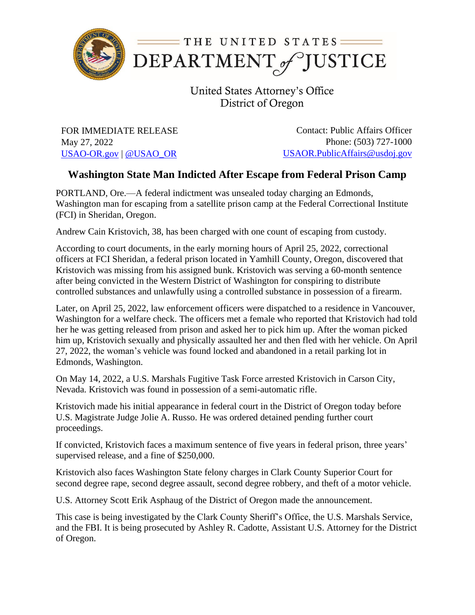

United States Attorney's Office District of Oregon

FOR IMMEDIATE RELEASE May 27, 2022 [USAO-OR.gov](http://www.usdoj.gov/usao/or) | [@USAO\\_OR](https://twitter.com/USAO_OR)

Contact: Public Affairs Officer Phone: (503) 727-1000 [USAOR.PublicAffairs@usdoj.gov](mailto:usaor.publicaffairs@usdoj.gov)

## **Washington State Man Indicted After Escape from Federal Prison Camp**

PORTLAND, Ore.—A federal indictment was unsealed today charging an Edmonds, Washington man for escaping from a satellite prison camp at the Federal Correctional Institute (FCI) in Sheridan, Oregon.

Andrew Cain Kristovich, 38, has been charged with one count of escaping from custody.

According to court documents, in the early morning hours of April 25, 2022, correctional officers at FCI Sheridan, a federal prison located in Yamhill County, Oregon, discovered that Kristovich was missing from his assigned bunk. Kristovich was serving a 60-month sentence after being convicted in the Western District of Washington for conspiring to distribute controlled substances and unlawfully using a controlled substance in possession of a firearm.

Later, on April 25, 2022, law enforcement officers were dispatched to a residence in Vancouver, Washington for a welfare check. The officers met a female who reported that Kristovich had told her he was getting released from prison and asked her to pick him up. After the woman picked him up, Kristovich sexually and physically assaulted her and then fled with her vehicle. On April 27, 2022, the woman's vehicle was found locked and abandoned in a retail parking lot in Edmonds, Washington.

On May 14, 2022, a U.S. Marshals Fugitive Task Force arrested Kristovich in Carson City, Nevada. Kristovich was found in possession of a semi-automatic rifle.

Kristovich made his initial appearance in federal court in the District of Oregon today before U.S. Magistrate Judge Jolie A. Russo. He was ordered detained pending further court proceedings.

If convicted, Kristovich faces a maximum sentence of five years in federal prison, three years' supervised release, and a fine of \$250,000.

Kristovich also faces Washington State felony charges in Clark County Superior Court for second degree rape, second degree assault, second degree robbery, and theft of a motor vehicle.

U.S. Attorney Scott Erik Asphaug of the District of Oregon made the announcement.

This case is being investigated by the Clark County Sheriff's Office, the U.S. Marshals Service, and the FBI. It is being prosecuted by Ashley R. Cadotte, Assistant U.S. Attorney for the District of Oregon.